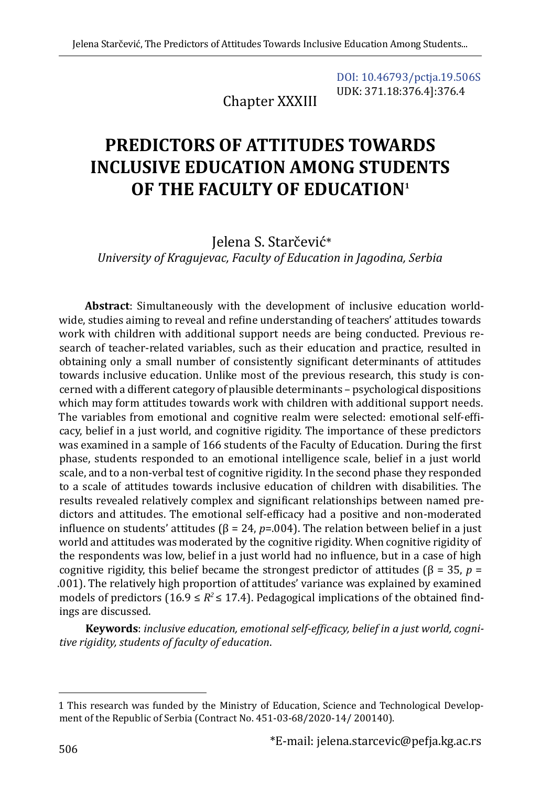Chapter XXXIII

[DOI: 10.46793/pctja.19.506S](https://doi.org/10.46793/pctja.19.506S) UDK: 371.18:376.4]:376.4

# **PREDICTORS OF ATTITUDES TOWARDS INCLUSIVE EDUCATION AMONG STUDENTS OF THE FACULTY OF EDUCATION1**

Jelena S. Starčević\* *University of Kragujevac, Faculty of Education in Jagodina, Serbia*

**Abstract**: Simultaneously with the development of inclusive education worldwide, studies aiming to reveal and refine understanding of teachers' attitudes towards work with children with additional support needs are being conducted. Previous research of teacher-related variables, such as their education and practice, resulted in obtaining only a small number of consistently significant determinants of attitudes towards inclusive education. Unlike most of the previous research, this study is concerned with a different category of plausible determinants – psychological dispositions which may form attitudes towards work with children with additional support needs. The variables from emotional and cognitive realm were selected: emotional self-efficacy, belief in a just world, and cognitive rigidity. The importance of these predictors was examined in a sample of 166 students of the Faculty of Education. During the first phase, students responded to an emotional intelligence scale, belief in a just world scale, and to a non-verbal test of cognitive rigidity. In the second phase they responded to a scale of attitudes towards inclusive education of children with disabilities. The results revealed relatively complex and significant relationships between named predictors and attitudes. The emotional self-efficacy had a positive and non-moderated influence on students' attitudes ( $\beta$  = 24,  $p$ =.004). The relation between belief in a just world and attitudes was moderated by the cognitive rigidity. When cognitive rigidity of the respondents was low, belief in a just world had no influence, but in a case of high cognitive rigidity, this belief became the strongest predictor of attitudes (β = 35, *p* = .001). The relatively high proportion of attitudes' variance was explained by examined models of predictors (16.9  $\leq$   $R^2$   $\leq$  17.4). Pedagogical implications of the obtained findings are discussed.

**Keywords**: *inclusive education, emotional self-efficacy, belief in a just world, cognitive rigidity, students of faculty of education*.

<sup>1</sup> This research was funded by the Ministry of Education, Science and Technological Development of the Republic of Serbia (Contract No. 451-03-68/2020-14/ 200140).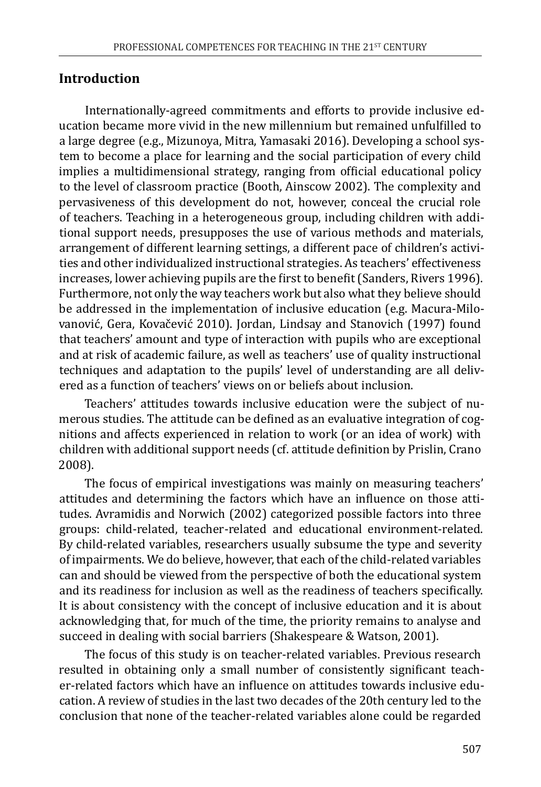## **Introduction**

Internationally-agreed commitments and efforts to provide inclusive education became more vivid in the new millennium but remained unfulfilled to a large degree (e.g., Mizunoya, Mitra, Yamasaki 2016). Developing a school system to become a place for learning and the social participation of every child implies a multidimensional strategy, ranging from official educational policy to the level of classroom practice (Booth, Ainscow 2002). The complexity and pervasiveness of this development do not, however, conceal the crucial role of teachers. Teaching in a heterogeneous group, including children with additional support needs, presupposes the use of various methods and materials, arrangement of different learning settings, a different pace of children's activities and other individualized instructional strategies. As teachers' effectiveness increases, lower achieving pupils are the first to benefit (Sanders, Rivers 1996). Furthermore, not only the way teachers work but also what they believe should be addressed in the implementation of inclusive education (e.g. Macura-Milovanović, Gera, Kovačević 2010). Jordan, Lindsay and Stanovich (1997) found that teachers' amount and type of interaction with pupils who are exceptional and at risk of academic failure, as well as teachers' use of quality instructional techniques and adaptation to the pupils' level of understanding are all delivered as a function of teachers' views on or beliefs about inclusion.

Teachers' attitudes towards inclusive education were the subject of numerous studies. The attitude can be defined as an evaluative integration of cognitions and affects experienced in relation to work (or an idea of work) with children with additional support needs (cf. attitude definition by Prislin, Crano 2008).

The focus of empirical investigations was mainly on measuring teachers' attitudes and determining the factors which have an influence on those attitudes. Avramidis and Norwich (2002) categorized possible factors into three groups: child-related, teacher-related and educational environment-related. By child-related variables, researchers usually subsume the type and severity of impairments. We do believe, however, that each of the child-related variables can and should be viewed from the perspective of both the educational system and its readiness for inclusion as well as the readiness of teachers specifically. It is about consistency with the concept of inclusive education and it is about acknowledging that, for much of the time, the priority remains to analyse and succeed in dealing with social barriers (Shakespeare & Watson, 2001).

The focus of this study is on teacher-related variables. Previous research resulted in obtaining only a small number of consistently significant teacher-related factors which have an influence on attitudes towards inclusive education. A review of studies in the last two decades of the 20th century led to the conclusion that none of the teacher-related variables alone could be regarded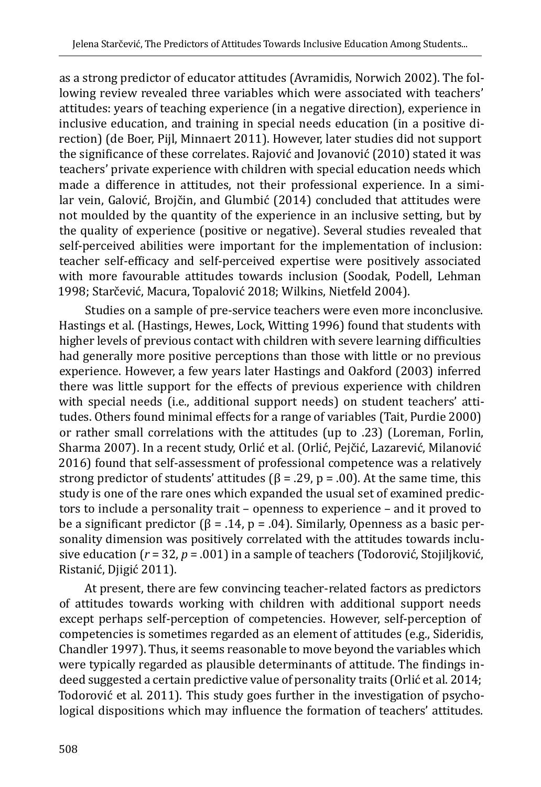as a strong predictor of educator attitudes (Avramidis, Norwich 2002). The following review revealed three variables which were associated with teachers' attitudes: years of teaching experience (in a negative direction), experience in inclusive education, and training in special needs education (in a positive direction) (de Boer, Pijl, Minnaert 2011). However, later studies did not support the significance of these correlates. Rajović and Jovanović (2010) stated it was teachers' private experience with children with special education needs which made a difference in attitudes, not their professional experience. In a similar vein, Galović, Brojčin, and Glumbić (2014) concluded that attitudes were not moulded by the quantity of the experience in an inclusive setting, but by the quality of experience (positive or negative). Several studies revealed that self-perceived abilities were important for the implementation of inclusion: teacher self-efficacy and self-perceived expertise were positively associated with more favourable attitudes towards inclusion (Soodak, Podell, Lehman 1998; Starčević, Macura, Topalović 2018; Wilkins, Nietfeld 2004).

Studies on a sample of pre-service teachers were even more inconclusive. Hastings et al. (Hastings, Hewes, Lock, Witting 1996) found that students with higher levels of previous contact with children with severe learning difficulties had generally more positive perceptions than those with little or no previous experience. However, a few years later Hastings and Oakford (2003) inferred there was little support for the effects of previous experience with children with special needs (i.e., additional support needs) on student teachers' attitudes. Others found minimal effects for a range of variables (Tait, Purdie 2000) or rather small correlations with the attitudes (up to .23) (Loreman, Forlin, Sharma 2007). In a recent study, Orlić et al. (Orlić, Pejčić, Lazarević, Milanović 2016) found that self-assessment of professional competence was a relatively strong predictor of students' attitudes ( $\beta$  = .29, p = .00). At the same time, this study is one of the rare ones which expanded the usual set of examined predictors to include a personality trait – openness to experience – and it proved to be a significant predictor ( $\beta$  = .14, p = .04). Similarly, Openness as a basic personality dimension was positively correlated with the attitudes towards inclusive education (*r* = 32, *p* = .001) in a sample of teachers (Todorović, Stojiljković, Ristanić, Djigić 2011).

At present, there are few convincing teacher-related factors as predictors of attitudes towards working with children with additional support needs except perhaps self-perception of competencies. However, self-perception of competencies is sometimes regarded as an element of attitudes (e.g., Sideridis, Chandler 1997). Thus, it seems reasonable to move beyond the variables which were typically regarded as plausible determinants of attitude. The findings indeed suggested a certain predictive value of personality traits (Orlić et al. 2014; Todorović et al. 2011). This study goes further in the investigation of psychological dispositions which may influence the formation of teachers' attitudes.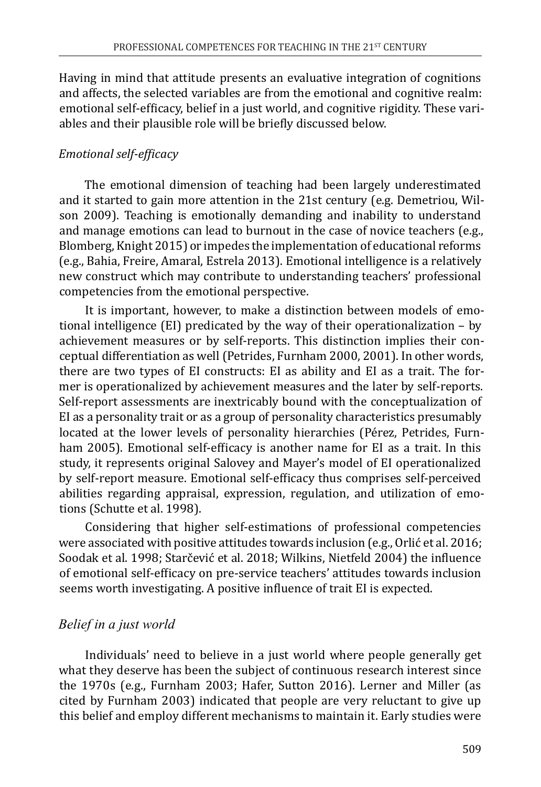Having in mind that attitude presents an evaluative integration of cognitions and affects, the selected variables are from the emotional and cognitive realm: emotional self-efficacy, belief in a just world, and cognitive rigidity. These variables and their plausible role will be briefly discussed below.

#### *Emotional self-efficacy*

The emotional dimension of teaching had been largely underestimated and it started to gain more attention in the 21st century (e.g. Demetriou, Wilson 2009). Teaching is emotionally demanding and inability to understand and manage emotions can lead to burnout in the case of novice teachers (e.g., Blomberg, Knight 2015) or impedes the implementation of educational reforms (e.g., Bahia, Freire, Amaral, Estrela 2013). Emotional intelligence is a relatively new construct which may contribute to understanding teachers' professional competencies from the emotional perspective.

It is important, however, to make a distinction between models of emotional intelligence (EI) predicated by the way of their operationalization – by achievement measures or by self-reports. This distinction implies their conceptual differentiation as well (Petrides, Furnham 2000, 2001). In other words, there are two types of EI constructs: EI as ability and EI as a trait. The former is operationalized by achievement measures and the later by self-reports. Self-report assessments are inextricably bound with the conceptualization of EI as a personality trait or as a group of personality characteristics presumably located at the lower levels of personality hierarchies (Pérez, Petrides, Furnham 2005). Emotional self-efficacy is another name for EI as a trait. In this study, it represents original Salovey and Mayer's model of EI operationalized by self-report measure. Emotional self-efficacy thus comprises self-perceived abilities regarding appraisal, expression, regulation, and utilization of emotions (Schutte et al. 1998).

Considering that higher self-estimations of professional competencies were associated with positive attitudes towards inclusion (e.g., Orlić et al. 2016; Soodak et al. 1998; Starčević et al. 2018; Wilkins, Nietfeld 2004) the influence of emotional self-efficacy on pre-service teachers' attitudes towards inclusion seems worth investigating. A positive influence of trait EI is expected.

## *Belief in a just world*

Individuals' need to believe in a just world where people generally get what they deserve has been the subject of continuous research interest since the 1970s (e.g., Furnham 2003; Hafer, Sutton 2016). Lerner and Miller (as cited by Furnham 2003) indicated that people are very reluctant to give up this belief and employ different mechanisms to maintain it. Early studies were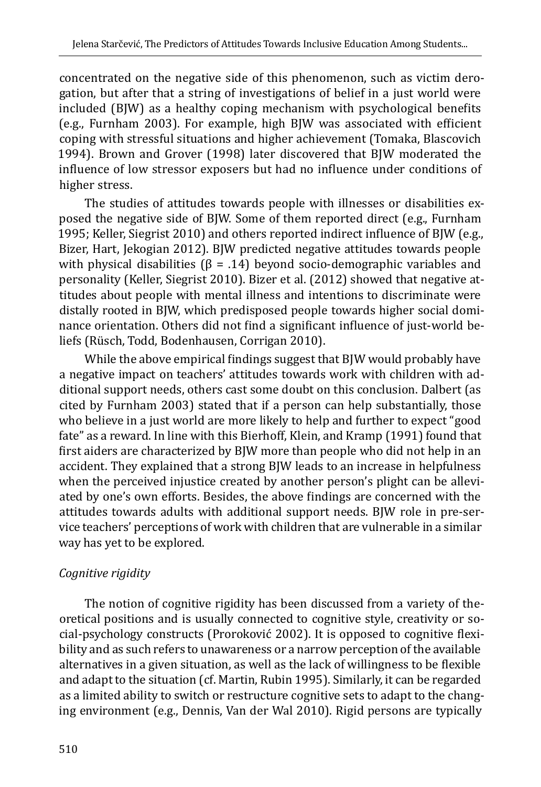concentrated on the negative side of this phenomenon, such as victim derogation, but after that a string of investigations of belief in a just world were included (BJW) as a healthy coping mechanism with psychological benefits (e.g., Furnham 2003). For example, high BJW was associated with efficient coping with stressful situations and higher achievement (Tomaka, Blascovich 1994). Brown and Grover (1998) later discovered that BJW moderated the influence of low stressor exposers but had no influence under conditions of higher stress.

The studies of attitudes towards people with illnesses or disabilities exposed the negative side of BJW. Some of them reported direct (e.g., Furnham 1995; Keller, Siegrist 2010) and others reported indirect influence of BJW (e.g., Bizer, Hart, Jekogian 2012). BJW predicted negative attitudes towards people with physical disabilities ( $\beta$  = .14) beyond socio-demographic variables and personality (Keller, Siegrist 2010). Bizer et al. (2012) showed that negative attitudes about people with mental illness and intentions to discriminate were distally rooted in BJW, which predisposed people towards higher social dominance orientation. Others did not find a significant influence of just-world beliefs (Rüsch, Todd, Bodenhausen, Corrigan 2010).

While the above empirical findings suggest that BJW would probably have a negative impact on teachers' attitudes towards work with children with additional support needs, others cast some doubt on this conclusion. Dalbert (as cited by Furnham 2003) stated that if a person can help substantially, those who believe in a just world are more likely to help and further to expect "good fate" as a reward. In line with this Bierhoff, Klein, and Kramp (1991) found that first aiders are characterized by BJW more than people who did not help in an accident. They explained that a strong BJW leads to an increase in helpfulness when the perceived injustice created by another person's plight can be alleviated by one's own efforts. Besides, the above findings are concerned with the attitudes towards adults with additional support needs. BJW role in pre-service teachers' perceptions of work with children that are vulnerable in a similar way has yet to be explored.

## *Cognitive rigidity*

The notion of cognitive rigidity has been discussed from a variety of theoretical positions and is usually connected to cognitive style, creativity or social-psychology constructs (Proroković 2002). It is opposed to cognitive flexibility and as such refers to unawareness or a narrow perception of the available alternatives in a given situation, as well as the lack of willingness to be flexible and adapt to the situation (cf. Martin, Rubin 1995). Similarly, it can be regarded as a limited ability to switch or restructure cognitive sets to adapt to the changing environment (e.g., Dennis, Van der Wal 2010). Rigid persons are typically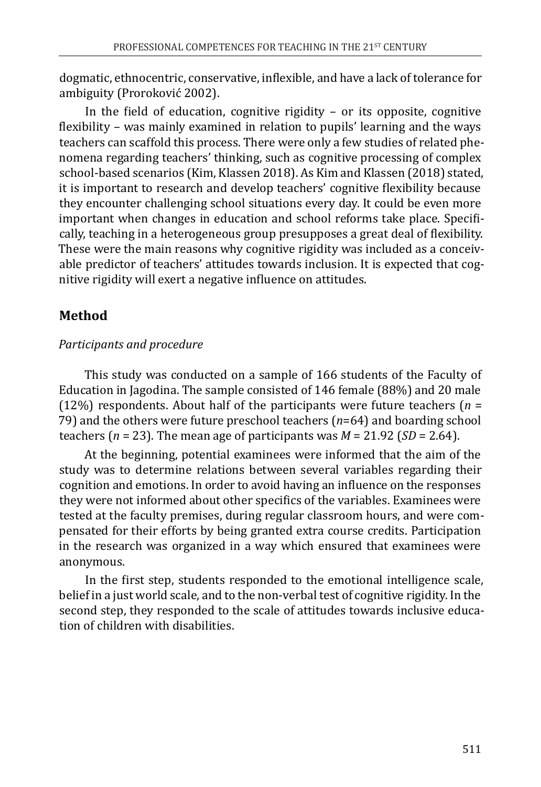dogmatic, ethnocentric, conservative, inflexible, and have a lack of tolerance for ambiguity (Proroković 2002).

In the field of education, cognitive rigidity – or its opposite, cognitive flexibility – was mainly examined in relation to pupils' learning and the ways teachers can scaffold this process. There were only a few studies of related phenomena regarding teachers' thinking, such as cognitive processing of complex school-based scenarios (Kim, Klassen 2018). As Kim and Klassen (2018) stated, it is important to research and develop teachers' cognitive flexibility because they encounter challenging school situations every day. It could be even more important when changes in education and school reforms take place. Specifically, teaching in a heterogeneous group presupposes a great deal of flexibility. These were the main reasons why cognitive rigidity was included as a conceivable predictor of teachers' attitudes towards inclusion. It is expected that cognitive rigidity will exert a negative influence on attitudes.

## **Method**

### *Participants and procedure*

This study was conducted on a sample of 166 students of the Faculty of Education in Jagodina. The sample consisted of 146 female (88%) and 20 male (12%) respondents. About half of the participants were future teachers (*n* = 79) and the others were future preschool teachers (*n*=64) and boarding school teachers (*n* = 23). The mean age of participants was *M* = 21.92 (*SD* = 2.64).

At the beginning, potential examinees were informed that the aim of the study was to determine relations between several variables regarding their cognition and emotions. In order to avoid having an influence on the responses they were not informed about other specifics of the variables. Examinees were tested at the faculty premises, during regular classroom hours, and were compensated for their efforts by being granted extra course credits. Participation in the research was organized in a way which ensured that examinees were anonymous.

In the first step, students responded to the emotional intelligence scale, belief in a just world scale, and to the non-verbal test of cognitive rigidity. In the second step, they responded to the scale of attitudes towards inclusive education of children with disabilities.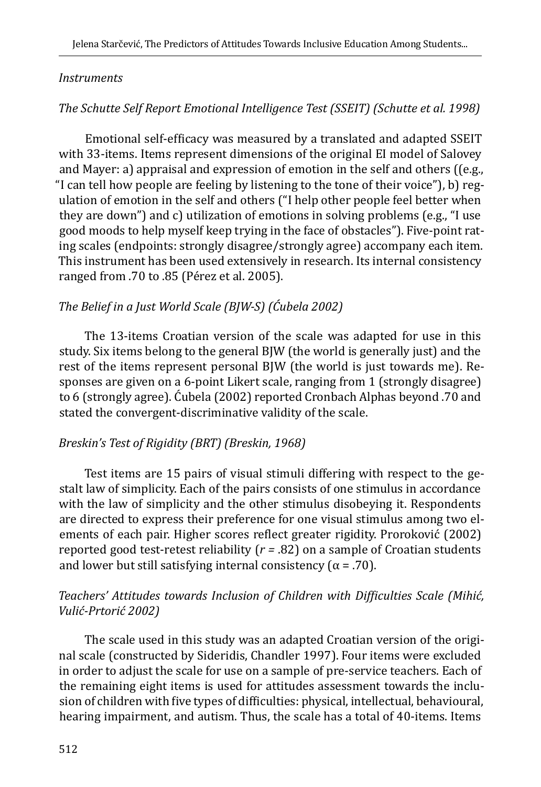#### *Instruments*

## *The Schutte Self Report Emotional Intelligence Test (SSEIT) (Schutte et al. 1998)*

Emotional self-efficacy was measured by a translated and adapted SSEIT with 33-items. Items represent dimensions of the original EI model of Salovey and Mayer: a) appraisal and expression of emotion in the self and others ((e.g., "I can tell how people are feeling by listening to the tone of their voice"), b) regulation of emotion in the self and others ("I help other people feel better when they are down") and c) utilization of emotions in solving problems (e.g., "I use good moods to help myself keep trying in the face of obstacles"). Five-point rating scales (endpoints: strongly disagree/strongly agree) accompany each item. This instrument has been used extensively in research. Its internal consistency ranged from .70 to .85 (Pérez et al. 2005).

## *The Belief in a Just World Scale (BJW-S) (Ćubela 2002)*

The 13-items Croatian version of the scale was adapted for use in this study. Six items belong to the general BJW (the world is generally just) and the rest of the items represent personal BJW (the world is just towards me). Responses are given on a 6-point Likert scale, ranging from 1 (strongly disagree) to 6 (strongly agree). Ćubela (2002) reported Cronbach Alphas beyond .70 and stated the convergent-discriminative validity of the scale.

### *Breskin's Test of Rigidity (BRT) (Breskin, 1968)*

Test items are 15 pairs of visual stimuli differing with respect to the gestalt law of simplicity. Each of the pairs consists of one stimulus in accordance with the law of simplicity and the other stimulus disobeying it. Respondents are directed to express their preference for one visual stimulus among two elements of each pair. Higher scores reflect greater rigidity. Proroković (2002) reported good test-retest reliability (*r =* .82) on a sample of Croatian students and lower but still satisfying internal consistency ( $\alpha$  = .70).

### *Teachers' Attitudes towards Inclusion of Children with Difficulties Scale (Mihić, Vulić-Prtorić 2002)*

The scale used in this study was an adapted Croatian version of the original scale (constructed by Sideridis, Chandler 1997). Four items were excluded in order to adjust the scale for use on a sample of pre-service teachers. Each of the remaining eight items is used for attitudes assessment towards the inclusion of children with five types of difficulties: physical, intellectual, behavioural, hearing impairment, and autism. Thus, the scale has a total of 40-items. Items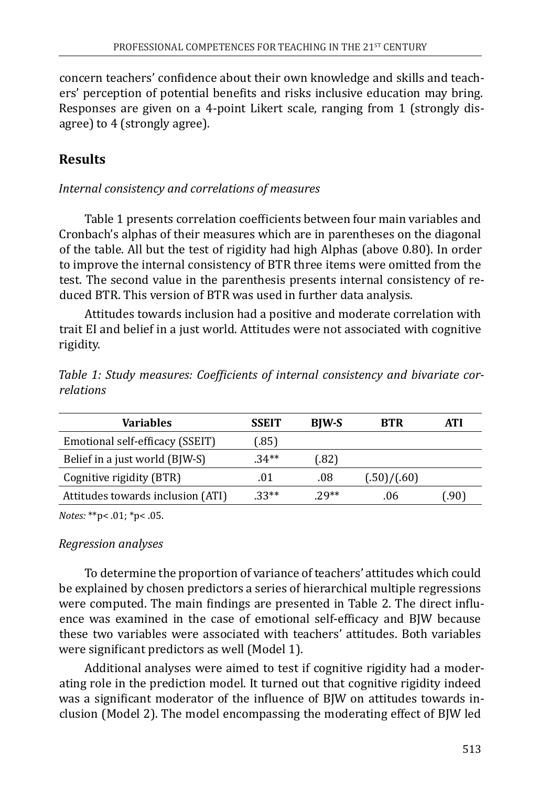concern teachers' confidence about their own knowledge and skills and teachers' perception of potential benefits and risks inclusive education may bring. Responses are given on a 4-point Likert scale, ranging from 1 (strongly disagree) to 4 (strongly agree).

# **Results**

#### *Internal consistency and correlations of measures*

Table 1 presents correlation coefficients between four main variables and Cronbach's alphas of their measures which are in parentheses on the diagonal of the table. All but the test of rigidity had high Alphas (above 0.80). In order to improve the internal consistency of BTR three items were omitted from the test. The second value in the parenthesis presents internal consistency of reduced BTR. This version of BTR was used in further data analysis.

Attitudes towards inclusion had a positive and moderate correlation with trait EI and belief in a just world. Attitudes were not associated with cognitive rigidity.

| Variables                         | <b>SSEIT</b> | <b>BIW-S</b> | <b>BTR</b>  | ATI  |
|-----------------------------------|--------------|--------------|-------------|------|
| Emotional self-efficacy (SSEIT)   | (.85)        |              |             |      |
| Belief in a just world (BJW-S)    | $.34**$      | (.82)        |             |      |
| Cognitive rigidity (BTR)          | .01          | .08          | (.50)/(.60) |      |
| Attitudes towards inclusion (ATI) | $.33**$      | $29**$       | .06         | (90. |

*Table 1: Study measures: Coefficients of internal consistency and bivariate correlations*

*Notes:* \*\*p< .01; \*p< .05.

#### *Regression analyses*

To determine the proportion of variance of teachers' attitudes which could be explained by chosen predictors a series of hierarchical multiple regressions were computed. The main findings are presented in Table 2. The direct influence was examined in the case of emotional self-efficacy and BJW because these two variables were associated with teachers' attitudes. Both variables were significant predictors as well (Model 1).

Additional analyses were aimed to test if cognitive rigidity had a moderating role in the prediction model. It turned out that cognitive rigidity indeed was a significant moderator of the influence of BJW on attitudes towards inclusion (Model 2). The model encompassing the moderating effect of BJW led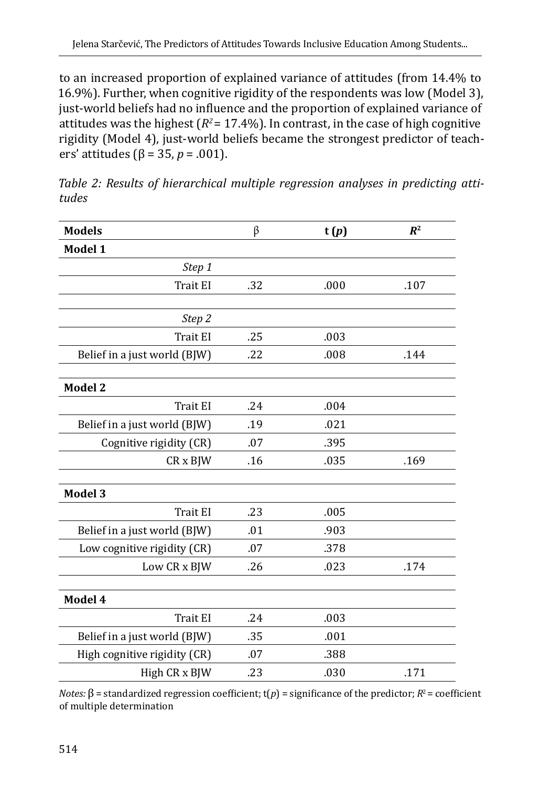to an increased proportion of explained variance of attitudes (from 14.4% to 16.9%). Further, when cognitive rigidity of the respondents was low (Model 3), just-world beliefs had no influence and the proportion of explained variance of attitudes was the highest  $(R^2 = 17.4\%)$ . In contrast, in the case of high cognitive rigidity (Model 4), just-world beliefs became the strongest predictor of teachers' attitudes (β = 35, *p* = .001).

| <b>Models</b>                | β   | t(p) | $R^2$ |
|------------------------------|-----|------|-------|
| Model 1                      |     |      |       |
| Step 1                       |     |      |       |
| <b>Trait EI</b>              | .32 | .000 | .107  |
|                              |     |      |       |
| Step 2                       |     |      |       |
| <b>Trait EI</b>              | .25 | .003 |       |
| Belief in a just world (BJW) | .22 | .008 | .144  |
|                              |     |      |       |
| <b>Model 2</b>               |     |      |       |
| Trait EI                     | .24 | .004 |       |
| Belief in a just world (BJW) | .19 | .021 |       |
| Cognitive rigidity (CR)      | .07 | .395 |       |
| CR x BJW                     | .16 | .035 | .169  |
|                              |     |      |       |
| <b>Model 3</b>               |     |      |       |
| <b>Trait EI</b>              | .23 | .005 |       |
| Belief in a just world (BJW) | .01 | .903 |       |
| Low cognitive rigidity (CR)  | .07 | .378 |       |
| Low CR x BJW                 | .26 | .023 | .174  |
|                              |     |      |       |
| Model 4                      |     |      |       |
| Trait EI                     | .24 | .003 |       |
| Belief in a just world (BJW) | .35 | .001 |       |
| High cognitive rigidity (CR) | .07 | .388 |       |
| High CR x BJW                | .23 | .030 | .171  |

*Table 2: Results of hierarchical multiple regression analyses in predicting attitudes*

*Notes:* β = standardized regression coefficient;  $t(p)$  = significance of the predictor;  $R^2$  = coefficient of multiple determination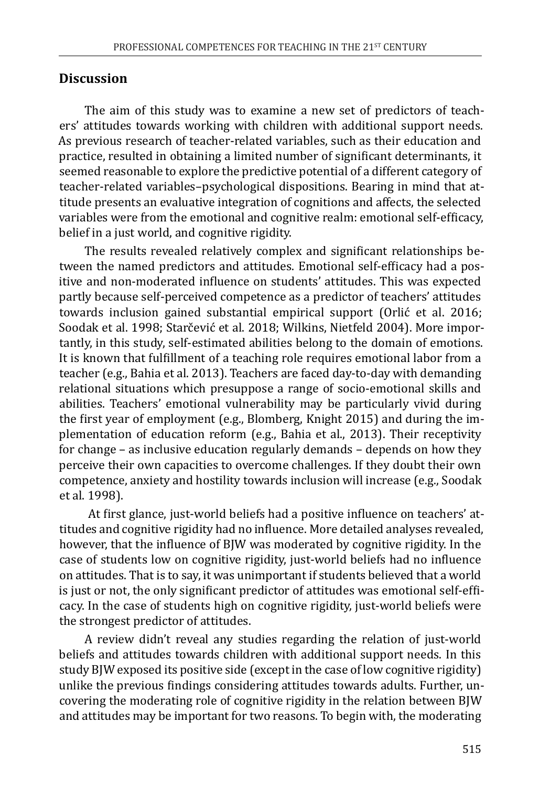#### **Discussion**

The aim of this study was to examine a new set of predictors of teachers' attitudes towards working with children with additional support needs. As previous research of teacher-related variables, such as their education and practice, resulted in obtaining a limited number of significant determinants, it seemed reasonable to explore the predictive potential of a different category of teacher-related variables–psychological dispositions. Bearing in mind that attitude presents an evaluative integration of cognitions and affects, the selected variables were from the emotional and cognitive realm: emotional self-efficacy, belief in a just world, and cognitive rigidity.

The results revealed relatively complex and significant relationships between the named predictors and attitudes. Emotional self-efficacy had a positive and non-moderated influence on students' attitudes. This was expected partly because self-perceived competence as a predictor of teachers' attitudes towards inclusion gained substantial empirical support (Orlić et al. 2016; Soodak et al. 1998; Starčević et al. 2018; Wilkins, Nietfeld 2004). More importantly, in this study, self-estimated abilities belong to the domain of emotions. It is known that fulfillment of a teaching role requires emotional labor from a teacher (e.g., Bahia et al. 2013). Teachers are faced day-to-day with demanding relational situations which presuppose a range of socio-emotional skills and abilities. Teachers' emotional vulnerability may be particularly vivid during the first year of employment (e.g., Blomberg, Knight 2015) and during the implementation of education reform (e.g., Bahia et al., 2013). Their receptivity for change – as inclusive education regularly demands – depends on how they perceive their own capacities to overcome challenges. If they doubt their own competence, anxiety and hostility towards inclusion will increase (e.g., Soodak et al. 1998).

 At first glance, just-world beliefs had a positive influence on teachers' attitudes and cognitive rigidity had no influence. More detailed analyses revealed, however, that the influence of BJW was moderated by cognitive rigidity. In the case of students low on cognitive rigidity, just-world beliefs had no influence on attitudes. That is to say, it was unimportant if students believed that a world is just or not, the only significant predictor of attitudes was emotional self-efficacy. In the case of students high on cognitive rigidity, just-world beliefs were the strongest predictor of attitudes.

A review didn't reveal any studies regarding the relation of just-world beliefs and attitudes towards children with additional support needs. In this study BJW exposed its positive side (except in the case of low cognitive rigidity) unlike the previous findings considering attitudes towards adults. Further, uncovering the moderating role of cognitive rigidity in the relation between BJW and attitudes may be important for two reasons. To begin with, the moderating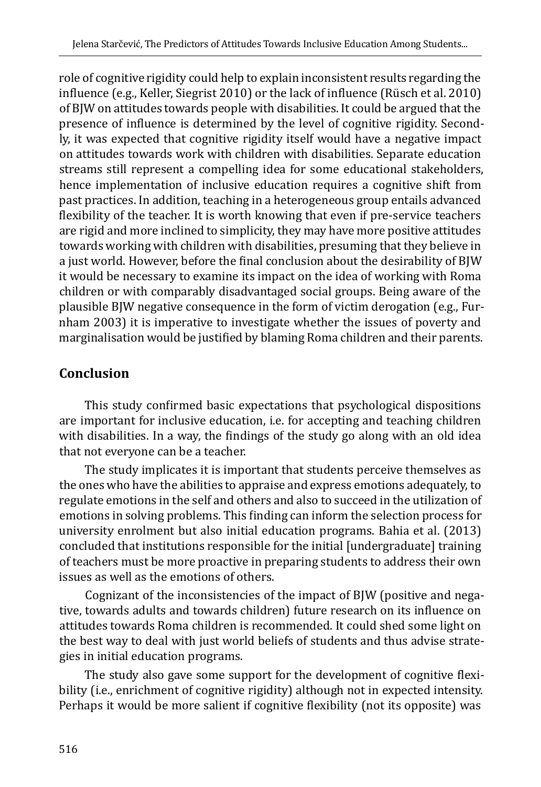role of cognitive rigidity could help to explain inconsistent results regarding the influence (e.g., Keller, Siegrist 2010) or the lack of influence (Rüsch et al. 2010) of BJW on attitudes towards people with disabilities. It could be argued that the presence of influence is determined by the level of cognitive rigidity. Secondly, it was expected that cognitive rigidity itself would have a negative impact on attitudes towards work with children with disabilities. Separate education streams still represent a compelling idea for some educational stakeholders, hence implementation of inclusive education requires a cognitive shift from past practices. In addition, teaching in a heterogeneous group entails advanced flexibility of the teacher. It is worth knowing that even if pre-service teachers are rigid and more inclined to simplicity, they may have more positive attitudes towards working with children with disabilities, presuming that they believe in a just world. However, before the final conclusion about the desirability of BJW it would be necessary to examine its impact on the idea of working with Roma children or with comparably disadvantaged social groups. Being aware of the plausible BJW negative consequence in the form of victim derogation (e.g., Furnham 2003) it is imperative to investigate whether the issues of poverty and marginalisation would be justified by blaming Roma children and their parents.

## **Conclusion**

This study confirmed basic expectations that psychological dispositions are important for inclusive education, i.e. for accepting and teaching children with disabilities. In a way, the findings of the study go along with an old idea that not everyone can be a teacher.

The study implicates it is important that students perceive themselves as the ones who have the abilities to appraise and express emotions adequately, to regulate emotions in the self and others and also to succeed in the utilization of emotions in solving problems. This finding can inform the selection process for university enrolment but also initial education programs. Bahia et al. (2013) concluded that institutions responsible for the initial [undergraduate] training of teachers must be more proactive in preparing students to address their own issues as well as the emotions of others.

Cognizant of the inconsistencies of the impact of BJW (positive and negative, towards adults and towards children) future research on its influence on attitudes towards Roma children is recommended. It could shed some light on the best way to deal with just world beliefs of students and thus advise strategies in initial education programs.

The study also gave some support for the development of cognitive flexibility (i.e., enrichment of cognitive rigidity) although not in expected intensity. Perhaps it would be more salient if cognitive flexibility (not its opposite) was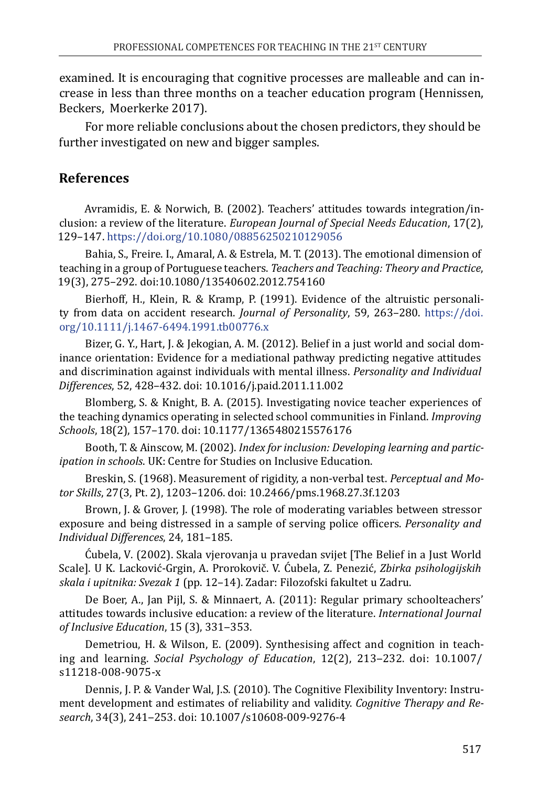examined. It is encouraging that cognitive processes are malleable and can increase in less than three months on a teacher education program (Hennissen, Beckers, Moerkerke 2017).

For more reliable conclusions about the chosen predictors, they should be further investigated on new and bigger samples.

## **References**

Avramidis, E. & Norwich, B. (2002). Teachers' attitudes towards integration/inclusion: а review of the literature. *European Journal of Special Needs Education*, 17(2), 129–147. <https://doi.org/10.1080/08856250210129056>

Bahia, S., Freire. I., Amaral, A. & Estrela, M. T. (2013). The emotional dimension of teaching in a group of Portuguese teachers. *Teachers and Teaching: Theory and Practice*, 19(3), 275–292. doi:10.1080/13540602.2012.754160

Bierhoff, H., Klein, R. & Kramp, P. (1991). Evidence of the altruistic personality from data on accident research. *Journal of Personality*, 59, 263–280. [https://doi.](https://doi.org/10.1111/j.1467-6494.1991.tb00776.x) [org/10.1111/j.1467-6494.1991.tb00776.x](https://doi.org/10.1111/j.1467-6494.1991.tb00776.x)

Bizer, G. Y., Hart, J. & Jekogian, A. M. (2012). Belief in a just world and social dominance orientation: Evidence for a mediational pathway predicting negative attitudes and discrimination against individuals with mental illness. *Personality and Individual Differences*, 52, 428–432. doi: 10.1016/j.paid.2011.11.002

Blomberg, S. & Knight, B. A. (2015). Investigating novice teacher experiences of the teaching dynamics operating in selected school communities in Finland. *Improving Schools*, 18(2), 157–170. doi: 10.1177/1365480215576176

Booth, T. & Ainscow, M. (2002). *Index for inclusion: Developing learning and participation in schools*. UK: Centre for Studies on Inclusive Education.

Breskin, S. (1968). Measurement of rigidity, a non-verbal test. *Perceptual and Motor Skills*, 27(3, Pt. 2), 1203–1206. doi: 10.2466/pms.1968.27.3f.1203

Brown, J. & Grover, J. (1998). The role of moderating variables between stressor exposure and being distressed in a sample of serving police officers. *Personality and Individual Differences*, 24, 181–185.

Ćubela, V. (2002). Skala vjerovanja u pravedan svijet [The Belief in a Just World Scale]. U K. Lacković-Grgin, A. Prorokovič. V. Ćubela, Z. Penezić, *Zbirka psihologijskih skala i upitnika: Svezak 1* (pp. 12–14). Zadar: Filozofski fakultet u Zadru.

De Boer, A., Jan Pijl, S. & Minnaert, A. (2011): Regular primary schoolteachers' attitudes towards inclusive education: a review of the literature. *International Journal of Inclusive Education*, 15 (3), 331‒353.

Demetriou, H. & Wilson, E. (2009). Synthesising affect and cognition in teaching and learning. *Social Psychology of Education*, 12(2), 213‒232. doi: 10.1007/ s11218-008-9075-x

Dennis, J. P. & Vander Wal, J.S. (2010). The Cognitive Flexibility Inventory: Instrument development and estimates of reliability and validity. *Cognitive Therapy and Research*, 34(3), 241‒253. doi: 10.1007/s10608-009-9276-4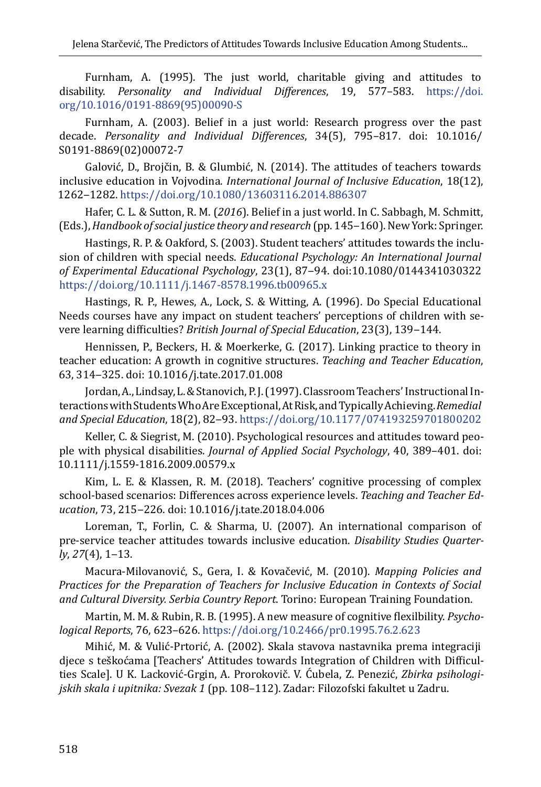Furnham, A. (1995). The just world, charitable giving and attitudes to disability. *Personality and Individual Differences*, 19, 577–583. [https://doi.](https://doi.org/10.1016/0191-8869%2895%2900090-S) [org/10.1016/0191-8869\(95\)00090-S](https://doi.org/10.1016/0191-8869%2895%2900090-S)

Furnham, A. (2003). Belief in a just world: Research progress over the past decade. *Personality and Individual Differences*, 34(5), 795–817. doi: 10.1016/ S0191-8869(02)00072-7

Galović, D., Brojčin, B. & Glumbić, N. (2014). The attitudes of teachers towards inclusive education in Vojvodina. *International Journal of Inclusive Education*, 18(12), 1262‒1282.<https://doi.org/10.1080/13603116.2014.886307>

Hafer, C. L. & Sutton, R. M. (*2016*). Belief in a just world. In C. Sabbagh, M. Schmitt, (Eds.), *Handbook of social justice theory and research* (pp. 145–160). New York: Springer.

Hastings, R. P. & Oakford, S. (2003). Student teachers' attitudes towards the inclusion of children with special needs. *Educational Psychology: An International Journal of Experimental Educational Psychology*, 23(1), 87‒94. doi:10.1080/0144341030322 <https://doi.org/10.1111/j.1467-8578.1996.tb00965.x>

Hastings, R. P., Hewes, A., Lock, S. & Witting, A. (1996). Do Special Educational Needs courses have any impact on student teachers' perceptions of children with severe learning difficulties? *British Journal of Special Education*, 23(3), 139-144.

Hennissen, P., Beckers, H. & Moerkerke, G. (2017). Linking practice to theory in teacher education: A growth in cognitive structures. *Teaching and Teacher Education*, 63, 314‒325. doi: 10.1016/j.tate.2017.01.008

Jordan, A., Lindsay, L. & Stanovich, P. J. (1997). Classroom Teachers' Instructional Interactions with Students Who Are Exceptional, At Risk, and Typically Achieving. *Remedial and Special Education*, 18(2), 82‒93.<https://doi.org/10.1177/074193259701800202>

Keller, C. & Siegrist, M. (2010). Psychological resources and attitudes toward people with physical disabilities. *Journal of Applied Social Psychology*, 40, 389–401. doi: 10.1111/j.1559-1816.2009.00579.x

Kim, L. E. & Klassen, R. M. (2018). Teachers' cognitive processing of complex school-based scenarios: Differences across experience levels. *Teaching and Teacher Education*, 73, 215‒226. doi: 10.1016/j.tate.2018.04.006

Loreman, T., Forlin, C. & Sharma, U. (2007). An international comparison of pre-service teacher attitudes towards inclusive education. *Disability Studies Quarterly*, *27*(4), 1‒13.

Macura-Milovanović, S., Gera, I. & Кovačević, M. (2010). *Mapping Policies and Practices for the Preparation of Teachers for Inclusive Education in Contexts of Social and Cultural Diversity. Serbia Country Report*. Torino: European Training Foundation.

Martin, M. M. & Rubin, R. B. (1995). A new measure of cognitive flexilbility. *Psychological Reports*, 76, 623–626.<https://doi.org/10.2466/pr0.1995.76.2.623>

Mihić, M. & Vulić-Prtorić, A. (2002). Skala stavova nastavnika prema integraciji djece s teškoćama [Teachers' Attitudes towards Integration of Children with Difficulties Scale]. U K. Lacković-Grgin, A. Prorokovič. V. Ćubela, Z. Penezić, *Zbirka psihologijskih skala i upitnika: Svezak 1* (pp. 108–112). Zadar: Filozofski fakultet u Zadru.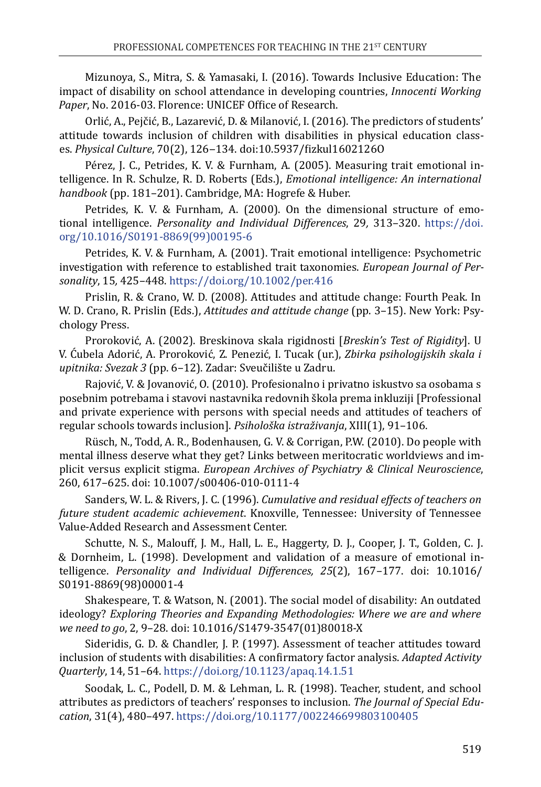Mizunoya, S., Mitra, S. & Yamasaki, I. (2016). Towards Inclusive Education: The impact of disability on school attendance in developing countries, *Innocenti Working Paper*, No. 2016-03. Florence: UNICEF Office of Research.

Orlić, A., Pejčić, B., Lazarević, D. & Milanović, I. (2016). The predictors of students' attitude towards inclusion of children with disabilities in physical education classes. *Physical Culture*, 70(2), 126‒134. doi:10.5937/fizkul1602126O

Pérez, J. C., Petrides, K. V. & Furnham, A. (2005). Measuring trait emotional intelligence. In R. Schulze, R. D. Roberts (Eds.), *Emotional intelligence: An international handbook* (pp. 181–201). Cambridge, MA: Hogrefe & Huber.

Petrides, K. V. & Furnham, A. (2000). On the dimensional structure of emotional intelligence. *Personality and Individual Differences*, 29*,* 313–320. [https://doi.](https://doi.org/10.1016/S0191-8869%2899%2900195-6) [org/10.1016/S0191-8869\(99\)00195-6](https://doi.org/10.1016/S0191-8869%2899%2900195-6)

Petrides, K. V. & Furnham, A. (2001). Trait emotional intelligence: Psychometric investigation with reference to established trait taxonomies. *European Journal of Personality*, 15*,* 425–448. <https://doi.org/10.1002/per.416>

Prislin, R. & Crano, W. D. (2008). Attitudes and attitude change: Fourth Peak. In W. D. Crano, R. Prislin (Eds.), *Attitudes and attitude change* (pp. 3–15). New York: Psychology Press.

Proroković, A. (2002). Breskinova skala rigidnosti [*Breskin's Test of Rigidity*]. U V. Ćubela Adorić, A. Proroković, Z. Penezić, I. Tucak (ur.), *Zbirka psihologijskih skala i upitnika: Svezak 3* (pp. 6–12). Zadar: Sveučilište u Zadru.

Rajović, V. & Jovanović, O. (2010). Profesionalno i privatno iskustvo sa osobama s posebnim potrebama i stavovi nastavnika redovnih škola prema inkluziji [Professional and private experience with persons with special needs and attitudes of teachers of regular schools towards inclusion]. *Psihološka istraživanja*, XIII(1), 91–106.

Rüsch, N., Todd, A. R., Bodenhausen, G. V. & Corrigan, P.W. (2010). Do people with mental illness deserve what they get? Links between meritocratic worldviews and implicit versus explicit stigma. *European Archives of Psychiatry & Clinical Neuroscience*, 260, 617–625. doi: 10.1007/s00406-010-0111-4

Sanders, W. L. & Rivers, J. C. (1996). *Cumulative and residual effects of teachers on future student academic achievement*. Knoxville, Tennessee: University of Tennessee Value-Added Research and Assessment Center.

Schutte, N. S., Malouff, J. M., Hall, L. E., Haggerty, D. J., Cooper, J. T., Golden, C. J. & Dornheim, L. (1998). Development and validation of a measure of emotional intelligence. *Personality and Individual Differences, 25*(2), 167–177. doi: 10.1016/ S0191-8869(98)00001-4

Shakespeare, T. & Watson, N. (2001). The social model of disability: An outdated ideology? *Exploring Theories and Expanding Methodologies: Where we are and where we need to go*, 2, 9–28. doi: 10.1016/S1479-3547(01)80018-X

Sideridis, G. D. & Chandler, J. P. (1997). Assessment of teacher attitudes toward inclusion of students with disabilities: A confirmatory factor analysis. *Adapted Activity Quarterly*, 14, 51–64. <https://doi.org/10.1123/apaq.14.1.51>

Soodak, L. C., Podell, D. M. & Lehman, L. R. (1998). Teacher, student, and school attributes as predictors of teachers' responses to inclusion. *The Journal of Special Education*, 31(4), 480–497. <https://doi.org/10.1177/002246699803100405>